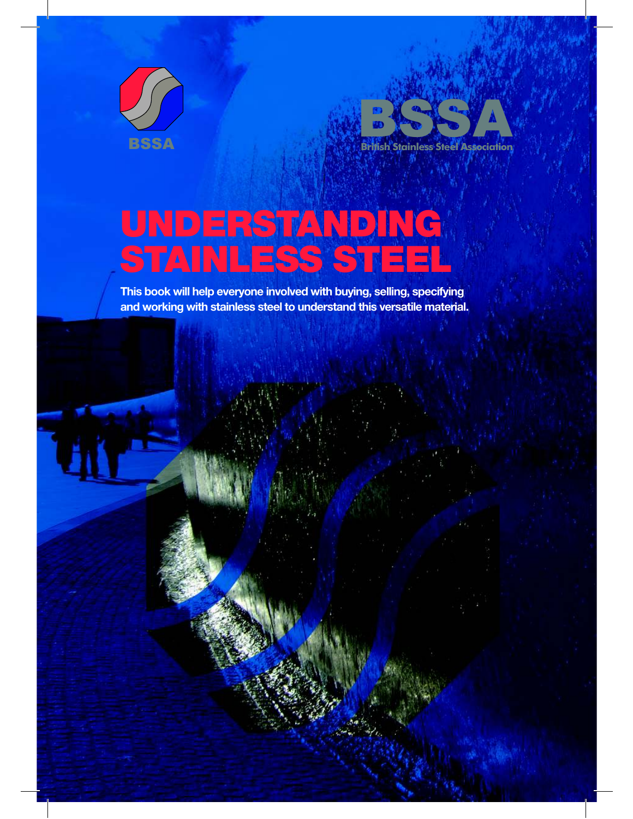



# UNDERSTANDING STAINLES

**This book will help everyone involved with buying, selling, specifying and working with stainless steel to understand this versatile material.**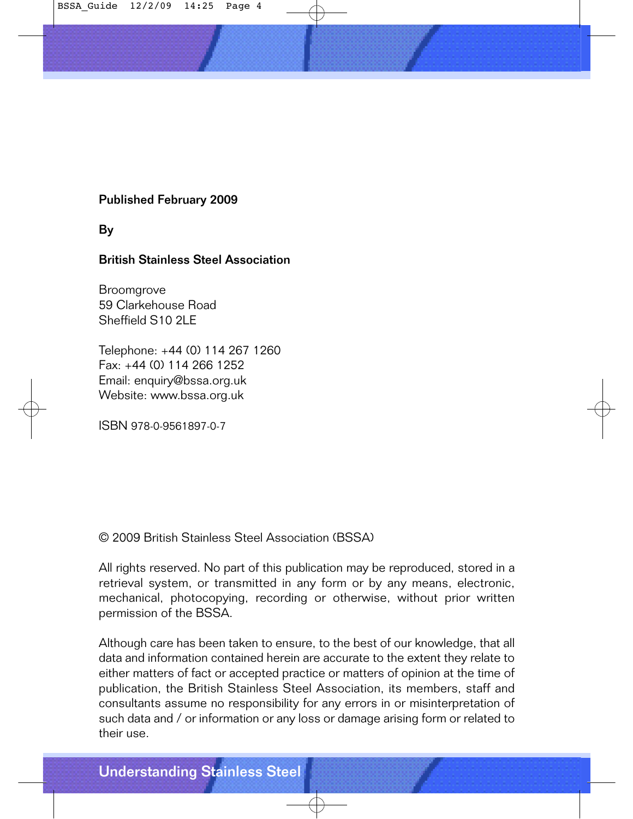

#### Published February 2009

By

#### British Stainless Steel Association

Broomgrove 59 Clarkehouse Road Sheffield S10 2LE

Telephone: +44 (0) 114 267 1260 Fax: +44 (0) 114 266 1252 Email: enquiry@bssa.org.uk Website: www.bssa.org.uk

ISBN 978-0-9561897-0-7

© 2009 British Stainless Steel Association (BSSA)

All rights reserved. No part of this publication may be reproduced, stored in a retrieval system, or transmitted in any form or by any means, electronic, mechanical, photocopying, recording or otherwise, without prior written permission of the BSSA.

Although care has been taken to ensure, to the best of our knowledge, that all data and information contained herein are accurate to the extent they relate to either matters of fact or accepted practice or matters of opinion at the time of publication, the British Stainless Steel Association, its members, staff and consultants assume no responsibility for any errors in or misinterpretation of such data and / or information or any loss or damage arising form or related to their use.

Understanding Stainless Steel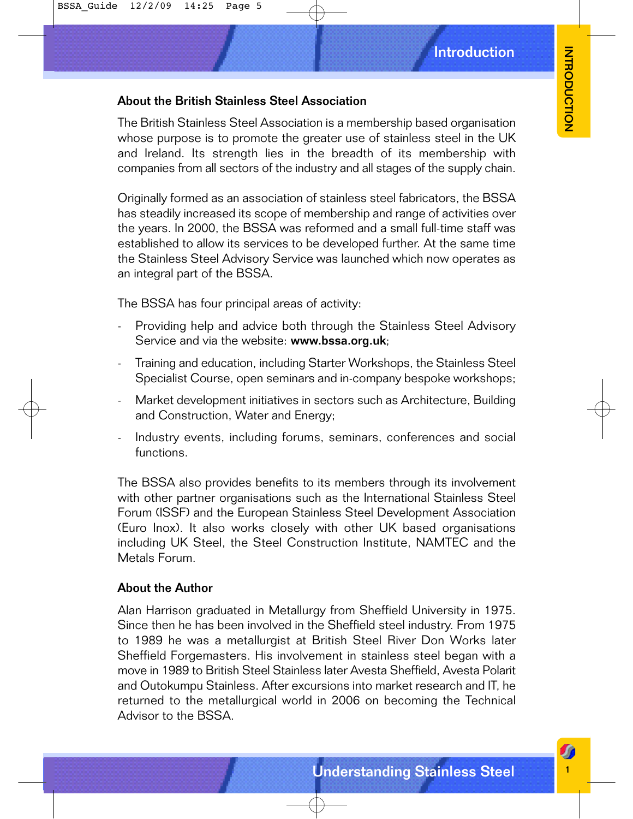#### About the British Stainless Steel Association

BSSA\_Guide 12/2/09 14:25 Page 5

The British Stainless Steel Association is a membership based organisation whose purpose is to promote the greater use of stainless steel in the UK and Ireland. Its strength lies in the breadth of its membership with companies from all sectors of the industry and all stages of the supply chain.

Originally formed as an association of stainless steel fabricators, the BSSA has steadily increased its scope of membership and range of activities over the years. In 2000, the BSSA was reformed and a small full-time staff was established to allow its services to be developed further. At the same time the Stainless Steel Advisory Service was launched which now operates as an integral part of the BSSA.

The BSSA has four principal areas of activity:

- Providing help and advice both through the Stainless Steel Advisory Service and via the website: www.bssa.org.uk;
- Training and education, including Starter Workshops, the Stainless Steel Specialist Course, open seminars and in-company bespoke workshops;
- Market development initiatives in sectors such as Architecture, Building and Construction, Water and Energy;
- Industry events, including forums, seminars, conferences and social functions.

The BSSA also provides benefits to its members through its involvement with other partner organisations such as the International Stainless Steel Forum (ISSF) and the European Stainless Steel Development Association (Euro Inox). It also works closely with other UK based organisations including UK Steel, the Steel Construction Institute, NAMTEC and the Metals Forum.

#### About the Author

Introduction<br>
ssociation<br>
not as a membership based organisation<br>
neater use of stainless steel in the UK<br>
he breadth of its membership with<br>
staty and all stages of the supply chain.<br>
f stainless steel fabricators, the BS Alan Harrison graduated in Metallurgy from Sheffield University in 1975. Since then he has been involved in the Sheffield steel industry. From 1975 to 1989 he was a metallurgist at British Steel River Don Works later Sheffield Forgemasters. His involvement in stainless steel began with a move in 1989 to British Steel Stainless later Avesta Sheffield, Avesta Polarit and Outokumpu Stainless. After excursions into market research and IT, he returned to the metallurgical world in 2006 on becoming the Technical Advisor to the BSSA.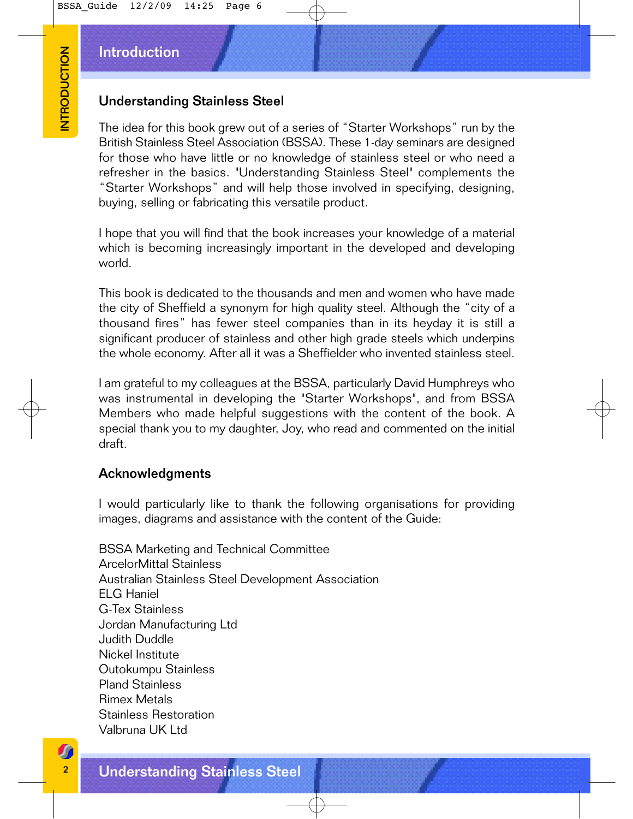#### Introduction

#### Understanding Stainless Steel

The idea for this book grew out of a series of "Starter Workshops" run by the British Stainless Steel Association (BSSA). These 1-day seminars are designed for those who have little or no knowledge of stainless steel or who need a refresher in the basics. "Understanding Stainless Steel" complements the "Starter Workshops" and will help those involved in specifying, designing, buying, selling or fabricating this versatile product.

I hope that you will find that the book increases your knowledge of a material which is becoming increasingly important in the developed and developing world.

This book is dedicated to the thousands and men and women who have made the city of Sheffield a synonym for high quality steel. Although the "city of a thousand fires" has fewer steel companies than in its heyday it is still a significant producer of stainless and other high grade steels which underpins the whole economy. After all it was a Sheffielder who invented stainless steel.

I am grateful to my colleagues at the BSSA, particularly David Humphreys who was instrumental in developing the "Starter Workshops", and from BSSA Members who made helpful suggestions with the content of the book. A special thank you to my daughter, Joy, who read and commented on the initial draft.

#### Acknowledgments

I would particularly like to thank the following organisations for providing images, diagrams and assistance with the content of the Guide:

Marchanding Stainless Steel<br>
Understanding Stainless Steel<br>
The idea for this book grew out of a set<br>
for those who have little or no know<br>
refresher in the basics. "Understand GBS<br>
Starter Workshops" and will help to buyi BSSA Marketing and Technical Committee ArcelorMittal Stainless Australian Stainless Steel Development Association ELG Haniel G-Tex Stainless Jordan Manufacturing Ltd Judith Duddle Nickel Institute Outokumpu Stainless Pland Stainless Rimex Metals Stainless Restoration Valbruna UK Ltd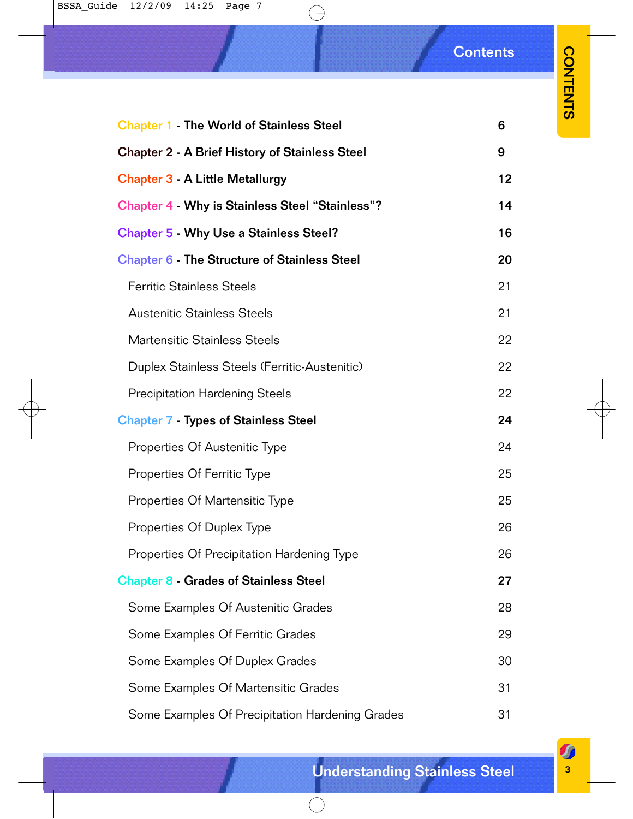# **Contents**

**CONTENTS** CONTENTS 33

| <b>Chapter 1 The World of Stainless Steel</b>          | 6  |  |  |  |  |
|--------------------------------------------------------|----|--|--|--|--|
| <b>Chapter 2 - A Brief History of Stainless Steel</b>  | 9  |  |  |  |  |
| 12<br><b>Chapter 3 - A Little Metallurgy</b>           |    |  |  |  |  |
| <b>Chapter 4 - Why is Stainless Steel "Stainless"?</b> | 14 |  |  |  |  |
| <b>Chapter 5 Why Use a Stainless Steel?</b>            | 16 |  |  |  |  |
| <b>Chapter 6 The Structure of Stainless Steel</b>      | 20 |  |  |  |  |
| <b>Ferritic Stainless Steels</b>                       | 21 |  |  |  |  |
| <b>Austenitic Stainless Steels</b>                     | 21 |  |  |  |  |
| <b>Martensitic Stainless Steels</b>                    | 22 |  |  |  |  |
| Duplex Stainless Steels (Ferritic-Austenitic)          | 22 |  |  |  |  |
| <b>Precipitation Hardening Steels</b>                  | 22 |  |  |  |  |
| <b>Chapter 7 - Types of Stainless Steel</b>            | 24 |  |  |  |  |
| Properties Of Austenitic Type                          | 24 |  |  |  |  |
| Properties Of Ferritic Type                            | 25 |  |  |  |  |
| Properties Of Martensitic Type                         | 25 |  |  |  |  |
| Properties Of Duplex Type                              | 26 |  |  |  |  |
| Properties Of Precipitation Hardening Type             | 26 |  |  |  |  |
| <b>Chapter 8 Grades of Stainless Steel</b>             | 27 |  |  |  |  |
| Some Examples Of Austenitic Grades                     | 28 |  |  |  |  |
| Some Examples Of Ferritic Grades                       | 29 |  |  |  |  |
| Some Examples Of Duplex Grades                         | 30 |  |  |  |  |
| Some Examples Of Martensitic Grades                    | 31 |  |  |  |  |
| Some Examples Of Precipitation Hardening Grades        | 31 |  |  |  |  |

 $\overline{\bigoplus}$ 

 $\overline{\bigoplus}$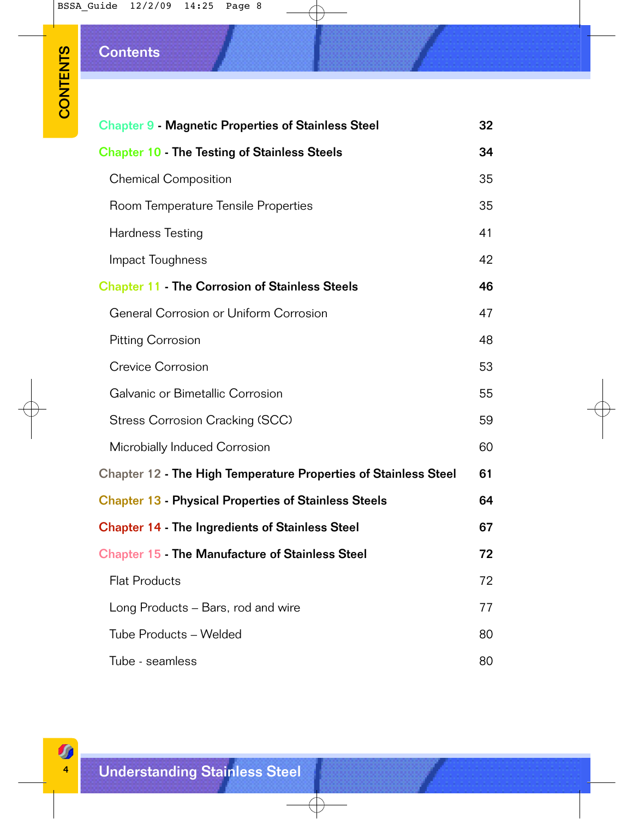# **Contents**

| <b>Chapter 9 - Magnetic Properties of Stainless Steel</b> | 32                                                                                                                                    |
|-----------------------------------------------------------|---------------------------------------------------------------------------------------------------------------------------------------|
| <b>Chapter 10 - The Testing of Stainless Steels</b>       | 34                                                                                                                                    |
| <b>Chemical Composition</b>                               | 35                                                                                                                                    |
| Room Temperature Tensile Properties                       | 35                                                                                                                                    |
| Hardness Testing                                          | 41                                                                                                                                    |
| Impact Toughness                                          | 42                                                                                                                                    |
| <b>Chapter 11 - The Corrosion of Stainless Steels</b>     | 46                                                                                                                                    |
| General Corrosion or Uniform Corrosion                    | 47                                                                                                                                    |
| <b>Pitting Corrosion</b>                                  | 48                                                                                                                                    |
| <b>Crevice Corrosion</b>                                  | 53                                                                                                                                    |
| Galvanic or Bimetallic Corrosion                          | 55                                                                                                                                    |
| Stress Corrosion Cracking (SCC)                           | 59                                                                                                                                    |
| Microbially Induced Corrosion                             | 60                                                                                                                                    |
|                                                           | 61                                                                                                                                    |
|                                                           | 64                                                                                                                                    |
| <b>Chapter 14 - The Ingredients of Stainless Steel</b>    | 67                                                                                                                                    |
| <b>Chapter 15 The Manufacture of Stainless Steel</b>      | 72                                                                                                                                    |
| <b>Flat Products</b>                                      | 72                                                                                                                                    |
| Long Products – Bars, rod and wire                        | 77                                                                                                                                    |
| Tube Products - Welded                                    | 80                                                                                                                                    |
| Tube - seamless                                           | 80                                                                                                                                    |
|                                                           | <b>Chapter 12 - The High Temperature Properties of Stainless Steel</b><br><b>Chapter 13 - Physical Properties of Stainless Steels</b> |

 $\bigoplus$ 

 $\overline{\bigoplus}$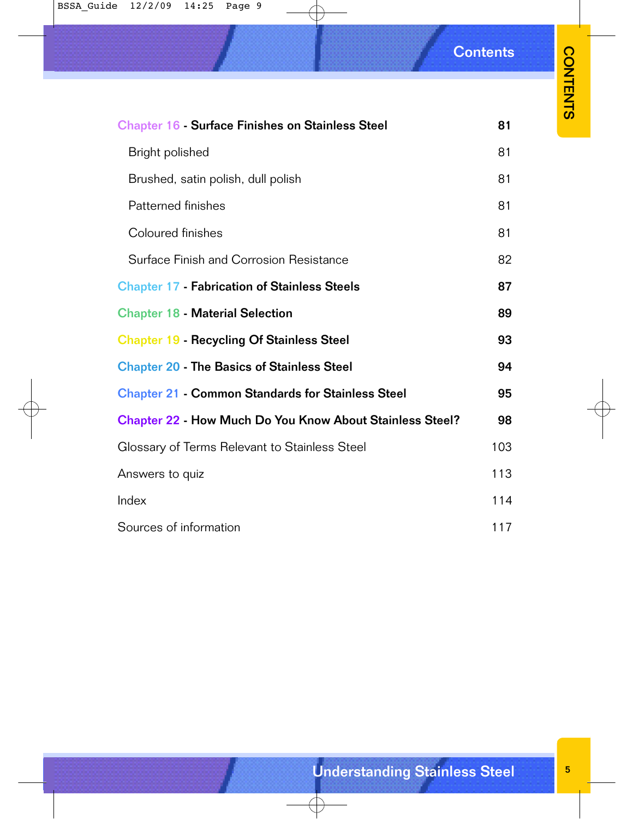#### BSSA\_Guide 12/2/09 14:25 Page 9

**Contents** 

|                                                                 | <b>Contents</b> |                 |
|-----------------------------------------------------------------|-----------------|-----------------|
|                                                                 |                 | <b>CONTENTS</b> |
| <b>Chapter 16 Surface Finishes on Stainless Steel</b>           | 81              |                 |
| Bright polished                                                 | 81              |                 |
| Brushed, satin polish, dull polish                              | 81              |                 |
| Patterned finishes                                              | 81              |                 |
| Coloured finishes                                               | 81              |                 |
| Surface Finish and Corrosion Resistance                         | 82              |                 |
| <b>Chapter 17 - Fabrication of Stainless Steels</b>             | 87              |                 |
| <b>Chapter 18 - Material Selection</b>                          | 89              |                 |
| <b>Chapter 19 - Recycling Of Stainless Steel</b>                | 93              |                 |
| <b>Chapter 20 - The Basics of Stainless Steel</b>               | 94              |                 |
| <b>Chapter 21 - Common Standards for Stainless Steel</b>        | 95              |                 |
| <b>Chapter 22 - How Much Do You Know About Stainless Steel?</b> | 98              |                 |
| Glossary of Terms Relevant to Stainless Steel                   | 103             |                 |
| Answers to quiz                                                 | 113             |                 |
| Index                                                           | 114             |                 |
| Sources of information                                          | 117             |                 |
|                                                                 |                 |                 |
|                                                                 |                 |                 |
|                                                                 |                 |                 |
|                                                                 |                 |                 |
|                                                                 |                 |                 |
|                                                                 |                 |                 |
|                                                                 |                 |                 |
|                                                                 |                 |                 |
| <b>Understanding Stainless Steel</b>                            |                 | $5\phantom{.0}$ |

 $\overline{\bigoplus}$ 

 $\bigoplus$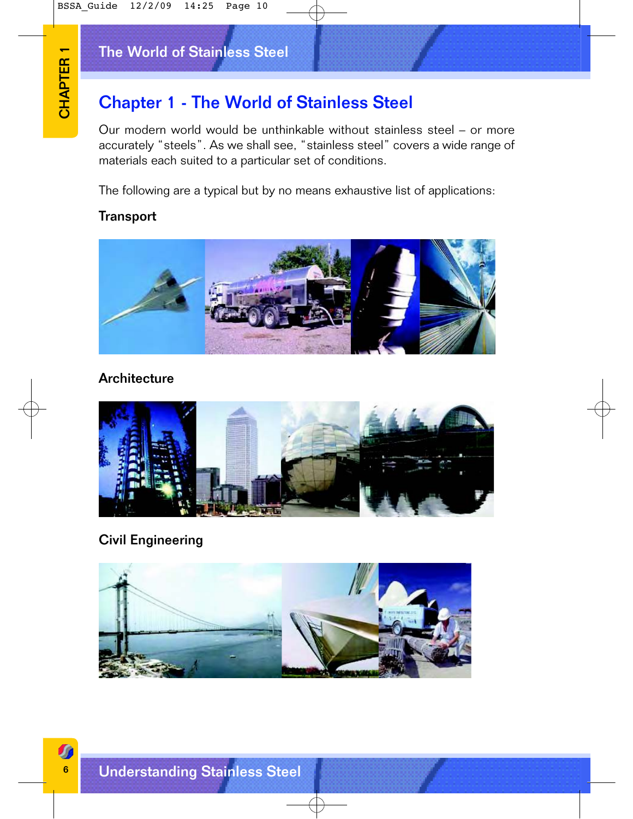# The World of Stainless Steel

# Chapter 1 - The World of Stainless Steel

Our modern world would be unthinkable without stainless steel – or more accurately "steels". As we shall see, "stainless steel" covers a wide range of materials each suited to a particular set of conditions.

The following are a typical but by no means exhaustive list of applications:

### **Transport**



#### **Architecture**



# Civil Engineering

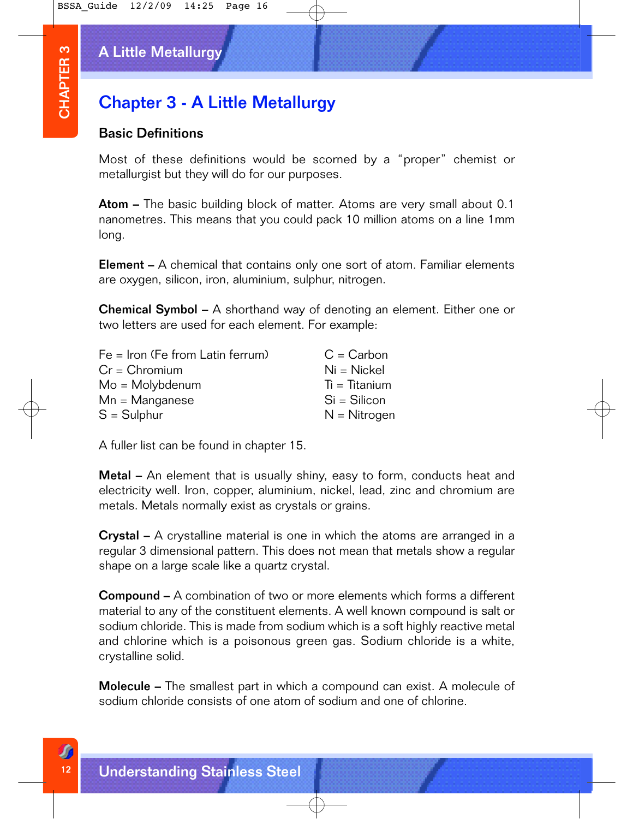# A Little Metallurgy

# Chapter 3 - A Little Metallurgy

#### Basic Definitions

Most of these definitions would be scorned by a "proper" chemist or metallurgist but they will do for our purposes.

Atom – The basic building block of matter. Atoms are very small about 0.1 nanometres. This means that you could pack 10 million atoms on a line 1mm long.

**Element** – A chemical that contains only one sort of atom. Familiar elements are oxygen, silicon, iron, aluminium, sulphur, nitrogen.

**Chemical Symbol –** A shorthand way of denoting an element. Either one or two letters are used for each element. For example:

|                  | <b>A Little Metallurgy</b>                                                                                                                                                                                                                                       |
|------------------|------------------------------------------------------------------------------------------------------------------------------------------------------------------------------------------------------------------------------------------------------------------|
| <b>CHAPTER 3</b> | <b>Chapter 3 - A Little Metallurgy</b>                                                                                                                                                                                                                           |
|                  | <b>Basic Definitions</b>                                                                                                                                                                                                                                         |
|                  | Most of these definitions would be scorned by a "<br>metallurgist but they will do for our purposes.                                                                                                                                                             |
|                  | <b>Atom -</b> The basic building block of matter. Atoms are<br>nanometres. This means that you could pack 10 million a<br>long.                                                                                                                                  |
|                  | <b>Element</b> – A chemical that contains only one sort of ato<br>are oxygen, silicon, iron, aluminium, sulphur, nitrogen.                                                                                                                                       |
|                  | <b>Chemical Symbol –</b> A shorthand way of denoting an el<br>two letters are used for each element. For example:                                                                                                                                                |
|                  | $Fe = Iron$ (Fe from Latin ferrum)<br>$C = Carbon$<br>$Cr = Chromium$<br>$Ni = Nickel$<br>$Ti = Titanium$<br>$Mo = Molybdenum$<br>$Si = Silicon$<br>$Mn =$ Manganese<br>$S =$ Sulphur<br>$N = Nitrogen$                                                          |
|                  | A fuller list can be found in chapter 15.                                                                                                                                                                                                                        |
|                  | <b>Metal -</b> An element that is usually shiny, easy to form<br>electricity well. Iron, copper, aluminium, nickel, lead, zir<br>metals. Metals normally exist as crystals or grains.                                                                            |
|                  | <b>Crystal -</b> A crystalline material is one in which the ator<br>regular 3 dimensional pattern. This does not mean that n<br>shape on a large scale like a quartz crystal.                                                                                    |
|                  | <b>Compound –</b> A combination of two or more elements w<br>material to any of the constituent elements. A well knowr<br>sodium chloride. This is made from sodium which is a soft<br>and chlorine which is a poisonous green gas. Sodium<br>crystalline solid. |
|                  | <b>Molecule –</b> The smallest part in which a compound can<br>sodium chloride consists of one atom of sodium and one                                                                                                                                            |
|                  |                                                                                                                                                                                                                                                                  |
|                  | <b>Understanding Stainless Steel</b>                                                                                                                                                                                                                             |

**Metal** – An element that is usually shiny, easy to form, conducts heat and electricity well. Iron, copper, aluminium, nickel, lead, zinc and chromium are metals. Metals normally exist as crystals or grains.

Crystal – A crystalline material is one in which the atoms are arranged in a regular 3 dimensional pattern. This does not mean that metals show a regular shape on a large scale like a quartz crystal.

**Compound –** A combination of two or more elements which forms a different material to any of the constituent elements. A well known compound is salt or sodium chloride. This is made from sodium which is a soft highly reactive metal and chlorine which is a poisonous green gas. Sodium chloride is a white, crystalline solid.

**Molecule** – The smallest part in which a compound can exist. A molecule of sodium chloride consists of one atom of sodium and one of chlorine.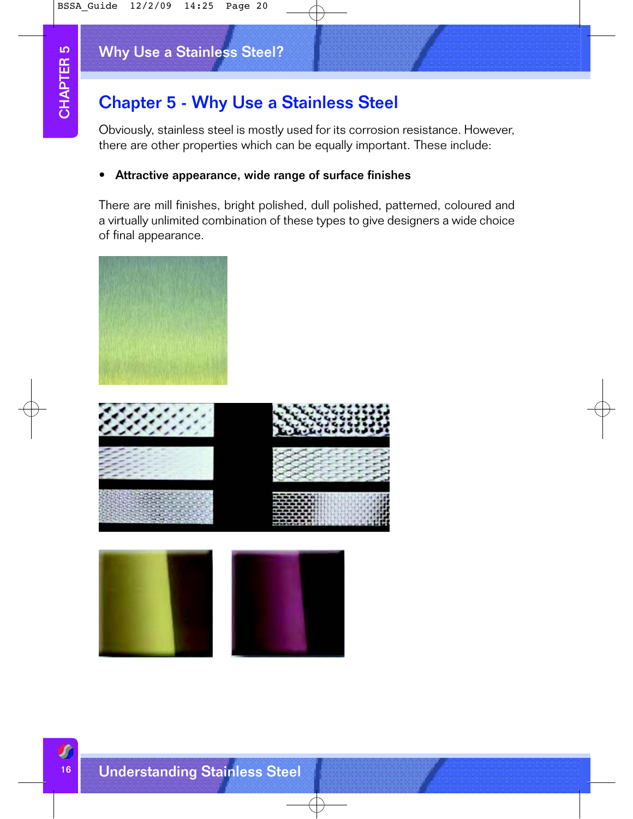# Why Use a Stainless Steel?

# Chapter 5 - Why Use a Stainless Steel

Obviously, stainless steel is mostly used for its corrosion resistance. However, there are other properties which can be equally important. These include:

#### • Attractive appearance, wide range of surface finishes

There are mill finishes, bright polished, dull polished, patterned, coloured and a virtually unlimited combination of these types to give designers a wide choice of final appearance.





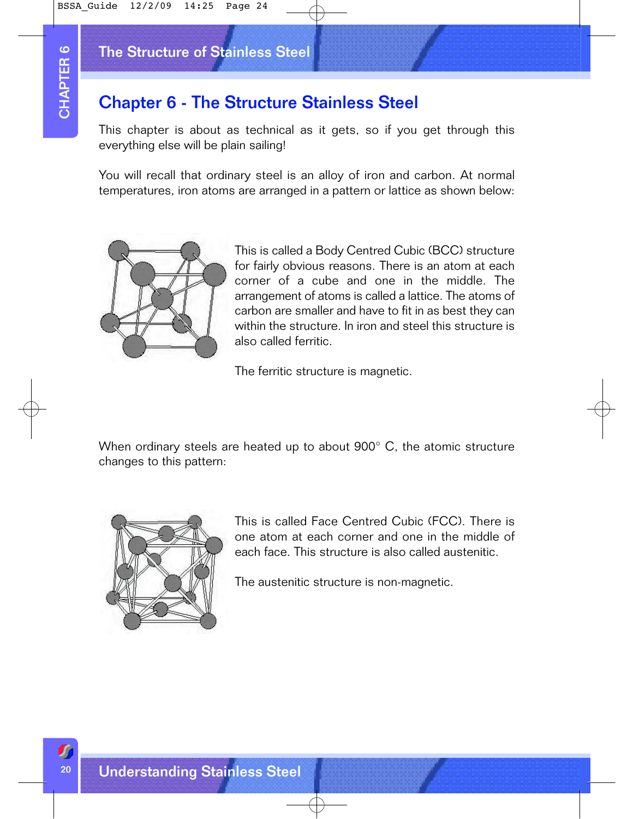# The Structure of Stainless Steel

# Chapter 6 - The Structure Stainless Steel

This chapter is about as technical as it gets, so if you get through this everything else will be plain sailing!

You will recall that ordinary steel is an alloy of iron and carbon. At normal temperatures, iron atoms are arranged in a pattern or lattice as shown below:



This is called a Body Centred Cubic (BCC) structure for fairly obvious reasons. There is an atom at each corner of a cube and one in the middle. The arrangement of atoms is called a lattice. The atoms of carbon are smaller and have to fit in as best they can within the structure. In iron and steel this structure is also called ferritic.

The ferritic structure is magnetic.

When ordinary steels are heated up to about 900° C, the atomic structure changes to this pattern:



This is called Face Centred Cubic (FCC). There is one atom at each corner and one in the middle of each face. This structure is also called austenitic.

The austenitic structure is non-magnetic.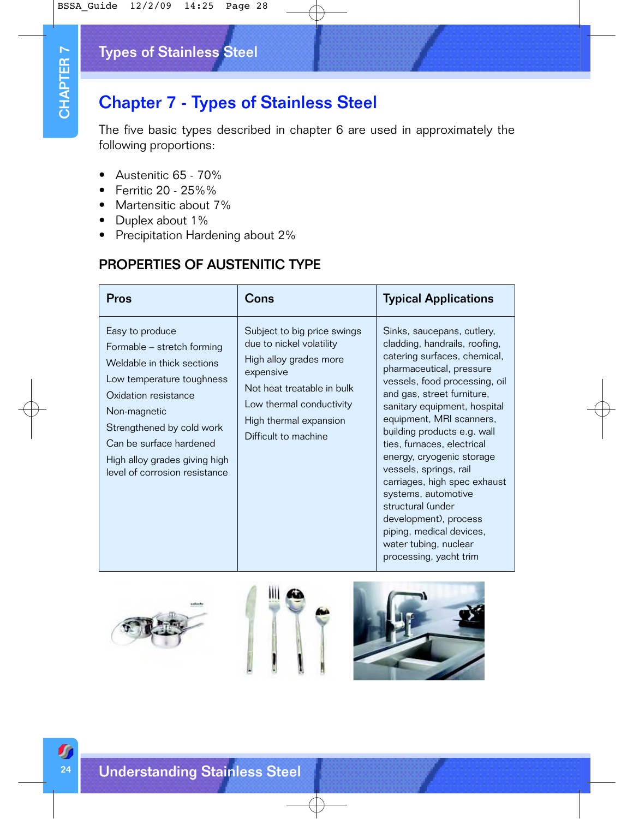# Types of Stainless Steel

# Chapter 7 - Types of Stainless Steel

- Austenitic 65 70%
- Ferritic 20 25%%
- Martensitic about 7%
- Duplex about 1%
- Precipitation Hardening about 2%

# PROPERTIES OF AUSTENITIC TYPE

|                  | Types of Stainless Steel                                                                                                                                                                                                                                                   |                                                                                                                                                                                                            |                                                                                                                                                                                                                                                                                                                                                                                                                                                                                                                                                            |
|------------------|----------------------------------------------------------------------------------------------------------------------------------------------------------------------------------------------------------------------------------------------------------------------------|------------------------------------------------------------------------------------------------------------------------------------------------------------------------------------------------------------|------------------------------------------------------------------------------------------------------------------------------------------------------------------------------------------------------------------------------------------------------------------------------------------------------------------------------------------------------------------------------------------------------------------------------------------------------------------------------------------------------------------------------------------------------------|
| <b>CHAPTER 7</b> | <b>Chapter 7 - Types of Stainless Steel</b>                                                                                                                                                                                                                                |                                                                                                                                                                                                            |                                                                                                                                                                                                                                                                                                                                                                                                                                                                                                                                                            |
|                  | The five basic types described in chapter 6 are used in approximately the<br>following proportions:                                                                                                                                                                        |                                                                                                                                                                                                            |                                                                                                                                                                                                                                                                                                                                                                                                                                                                                                                                                            |
|                  | Austenitic 65 - 70%<br>Ferritic 20 - 25%%<br>Martensitic about 7%<br>Duplex about 1%<br>Precipitation Hardening about 2%                                                                                                                                                   |                                                                                                                                                                                                            |                                                                                                                                                                                                                                                                                                                                                                                                                                                                                                                                                            |
|                  | <b>PROPERTIES OF AUSTENITIC TYPE</b>                                                                                                                                                                                                                                       |                                                                                                                                                                                                            |                                                                                                                                                                                                                                                                                                                                                                                                                                                                                                                                                            |
|                  | Pros                                                                                                                                                                                                                                                                       | Cons                                                                                                                                                                                                       | <b>Typical Applications</b>                                                                                                                                                                                                                                                                                                                                                                                                                                                                                                                                |
|                  | Easy to produce<br>Formable - stretch forming<br>Weldable in thick sections<br>Low temperature toughness<br>Oxidation resistance<br>Non-magnetic<br>Strengthened by cold work<br>Can be surface hardened<br>High alloy grades giving high<br>level of corrosion resistance | Subject to big price swings<br>due to nickel volatility<br>High alloy grades more<br>expensive<br>Not heat treatable in bulk<br>Low thermal conductivity<br>High thermal expansion<br>Difficult to machine | Sinks, saucepans, cutlery,<br>cladding, handrails, roofing,<br>catering surfaces, chemical,<br>pharmaceutical, pressure<br>vessels, food processing, oil<br>and gas, street furniture,<br>sanitary equipment, hospital<br>equipment, MRI scanners,<br>building products e.g. wall<br>ties, furnaces, electrical<br>energy, cryogenic storage<br>vessels, springs, rail<br>carriages, high spec exhaust<br>systems, automotive<br>structural (under<br>development), process<br>piping, medical devices,<br>water tubing, nuclear<br>processing, yacht trim |
|                  |                                                                                                                                                                                                                                                                            |                                                                                                                                                                                                            |                                                                                                                                                                                                                                                                                                                                                                                                                                                                                                                                                            |
| 24               | <b>Understanding Stainless Steel</b>                                                                                                                                                                                                                                       |                                                                                                                                                                                                            |                                                                                                                                                                                                                                                                                                                                                                                                                                                                                                                                                            |

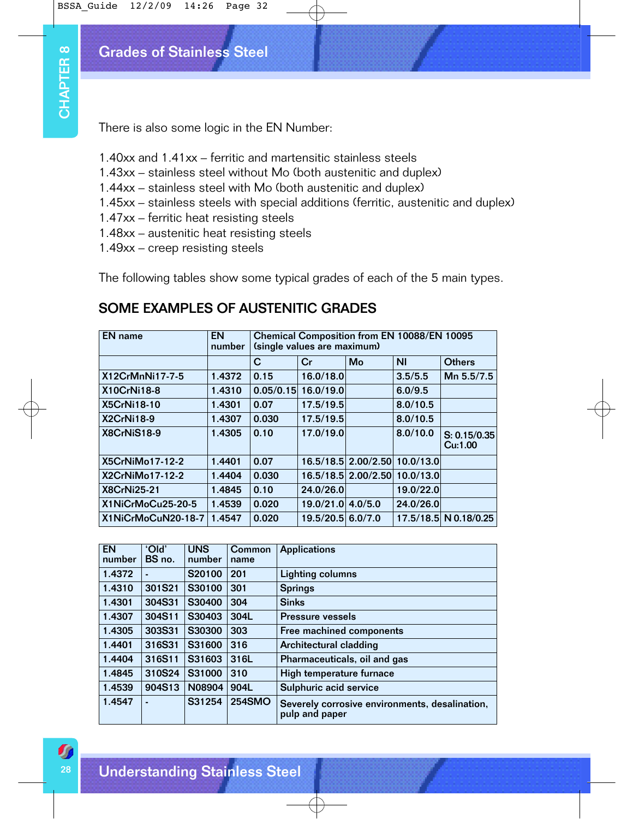# Grades of Stainless Steel

- 1.40xx and 1.41xx ferritic and martensitic stainless steels
- 1.43xx stainless steel without Mo (both austenitic and duplex)
- 1.44xx stainless steel with Mo (both austenitic and duplex)
- 1.45xx stainless steels with special additions (ferritic, austenitic and duplex)
- 1.47xx ferritic heat resisting steels
- 1.48xx austenitic heat resisting steels
- 1.49xx creep resisting steels

# SOME EXAMPLES OF AUSTENITIC GRADES

|                                                                                                                                                                                                    | There is also some logic in the EN Number: |                      |           |        |             |                               |                                           |                              |                                                                           |                         |
|----------------------------------------------------------------------------------------------------------------------------------------------------------------------------------------------------|--------------------------------------------|----------------------|-----------|--------|-------------|-------------------------------|-------------------------------------------|------------------------------|---------------------------------------------------------------------------|-------------------------|
| 1.40xx and 1.41xx – ferritic and martensitic stainless steels<br>1.43xx - stainless steel without Mo (both austenitic and duplex)<br>1.44xx – stainless steel with Mo (both austenitic and duplex) |                                            |                      |           |        |             |                               |                                           |                              |                                                                           |                         |
|                                                                                                                                                                                                    |                                            |                      |           |        |             |                               |                                           |                              |                                                                           |                         |
| 1.45xx - stainless steels with special additions (ferritic, austenitic and duple                                                                                                                   |                                            |                      |           |        |             |                               |                                           |                              |                                                                           |                         |
| 1.47xx – ferritic heat resisting steels<br>1.48xx - austenitic heat resisting steels                                                                                                               |                                            |                      |           |        |             |                               |                                           |                              |                                                                           |                         |
|                                                                                                                                                                                                    | 1.49xx – creep resisting steels            |                      |           |        |             |                               |                                           |                              |                                                                           |                         |
|                                                                                                                                                                                                    |                                            |                      |           |        |             |                               |                                           |                              |                                                                           |                         |
|                                                                                                                                                                                                    |                                            |                      |           |        |             |                               |                                           |                              | The following tables show some typical grades of each of the 5 main types |                         |
|                                                                                                                                                                                                    |                                            |                      |           |        |             |                               |                                           |                              |                                                                           |                         |
|                                                                                                                                                                                                    |                                            |                      |           |        |             |                               | <b>SOME EXAMPLES OF AUSTENITIC GRADES</b> |                              |                                                                           |                         |
|                                                                                                                                                                                                    |                                            |                      |           |        |             |                               |                                           |                              |                                                                           |                         |
| <b>EN</b> name                                                                                                                                                                                     |                                            |                      | <b>EN</b> | number |             |                               | (single values are maximum)               |                              | Chemical Composition from EN 10088/EN 10095                               |                         |
|                                                                                                                                                                                                    |                                            |                      |           |        | $\mathbf C$ |                               | Cr                                        | Mo                           | N <sub>1</sub>                                                            | <b>Others</b>           |
|                                                                                                                                                                                                    | X12CrMnNi17-7-5                            |                      |           | 1.4372 | 0.15        |                               | 16.0/18.0                                 |                              | 3.5/5.5                                                                   | Mn 5.5/7.5              |
| X10CrNi18-8                                                                                                                                                                                        |                                            |                      |           | 1.4310 |             |                               | $0.05/0.15$ 16.0/19.0                     |                              | 6.0/9.5                                                                   |                         |
| X5CrNi18-10                                                                                                                                                                                        |                                            |                      |           | 1.4301 | 0.07        |                               | 17.5/19.5                                 |                              | 8.0/10.5                                                                  |                         |
| X2CrNi18-9                                                                                                                                                                                         |                                            |                      |           | 1.4307 | 0.030       |                               | 17.5/19.5                                 |                              | 8.0/10.5                                                                  |                         |
| X8CrNiS18-9                                                                                                                                                                                        |                                            |                      |           | 1.4305 | 0.10        |                               | 17.0/19.0                                 |                              | 8.0/10.0                                                                  | S: 0.15/0.35<br>Cu:1.00 |
|                                                                                                                                                                                                    | X5CrNiMo17-12-2                            |                      |           | 1.4401 | 0.07        |                               |                                           |                              | 16.5/18.5 2.00/2.50 10.0/13.0                                             |                         |
|                                                                                                                                                                                                    | X2CrNiMo17-12-2                            |                      |           | 1.4404 | 0.030       |                               |                                           |                              | 16.5/18.5 2.00/2.50 10.0/13.0                                             |                         |
| <b>X8CrNi25-21</b>                                                                                                                                                                                 |                                            |                      |           | 1.4845 | 0.10        |                               | 24.0/26.0                                 |                              | 19.0/22.0                                                                 |                         |
|                                                                                                                                                                                                    | X1NiCrMoCu25-20-5                          |                      |           | 1.4539 | 0.020       |                               | 19.0/21.0 4.0/5.0                         |                              | 24.0/26.0                                                                 |                         |
|                                                                                                                                                                                                    | X1NiCrMoCuN20-18-7                         |                      | 1.4547    |        | 0.020       |                               | 19.5/20.5 6.0/7.0                         |                              | 17.5/18.5 N 0.18/0.25                                                     |                         |
|                                                                                                                                                                                                    |                                            |                      |           |        |             |                               |                                           |                              |                                                                           |                         |
| <b>EN</b><br>number                                                                                                                                                                                | 'Old'<br>BS no.                            | <b>UNS</b><br>number |           | name   | Common      |                               | <b>Applications</b>                       |                              |                                                                           |                         |
| 1.4372                                                                                                                                                                                             |                                            | S20100               |           | 201    |             |                               | <b>Lighting columns</b>                   |                              |                                                                           |                         |
|                                                                                                                                                                                                    | 301S21                                     | S30100               |           | 301    |             | <b>Springs</b>                |                                           |                              |                                                                           |                         |
|                                                                                                                                                                                                    | 304S31                                     | S30400               |           | 304    |             | <b>Sinks</b>                  |                                           |                              |                                                                           |                         |
| 1.4310<br>1.4301                                                                                                                                                                                   | 304S11                                     | S30403               |           | 304L   |             |                               | <b>Pressure vessels</b>                   |                              |                                                                           |                         |
| 1.4307                                                                                                                                                                                             | 303S31                                     | S30300               |           | 303    |             |                               |                                           | Free machined components     |                                                                           |                         |
| 1.4305                                                                                                                                                                                             |                                            | S31600               |           | 316    |             | <b>Architectural cladding</b> |                                           |                              |                                                                           |                         |
| 1.4401                                                                                                                                                                                             | 316S31                                     | S31603               |           | 316L   |             |                               |                                           | Pharmaceuticals, oil and gas |                                                                           |                         |
| 1.4404                                                                                                                                                                                             | 316S11                                     |                      |           | 310    |             |                               |                                           | High temperature furnace     |                                                                           |                         |
| 1.4845                                                                                                                                                                                             | 310S24                                     |                      | S31000    |        |             |                               | Sulphuric acid service                    |                              |                                                                           |                         |
| 1.4539                                                                                                                                                                                             | 904S13                                     | N08904               |           | 904L   |             |                               |                                           |                              |                                                                           |                         |

| <b>EN</b><br>number | 'Old'<br>BS no. | <b>UNS</b><br>number | Common<br>name | <b>Applications</b>                                              |
|---------------------|-----------------|----------------------|----------------|------------------------------------------------------------------|
| 1.4372              |                 | S20100               | 201            | Lighting columns                                                 |
| 1.4310              | 301S21          | S30100               | 301            | <b>Springs</b>                                                   |
| 1.4301              | 304S31          | S30400               | 304            | <b>Sinks</b>                                                     |
| 1.4307              | 304S11          | S30403               | 304L           | <b>Pressure vessels</b>                                          |
| 1.4305              | 303S31          | S30300               | 303            | Free machined components                                         |
| 1.4401              | 316S31          | S31600               | 316            | Architectural cladding                                           |
| 1.4404              | 316S11          | S31603               | 316L           | Pharmaceuticals, oil and gas                                     |
| 1.4845              | 310S24          | S31000               | 310            | High temperature furnace                                         |
| 1.4539              | 904S13          | N08904               | 904L           | Sulphuric acid service                                           |
| 1.4547              |                 | S31254               | <b>254SMO</b>  | Severely corrosive environments, desalination,<br>pulp and paper |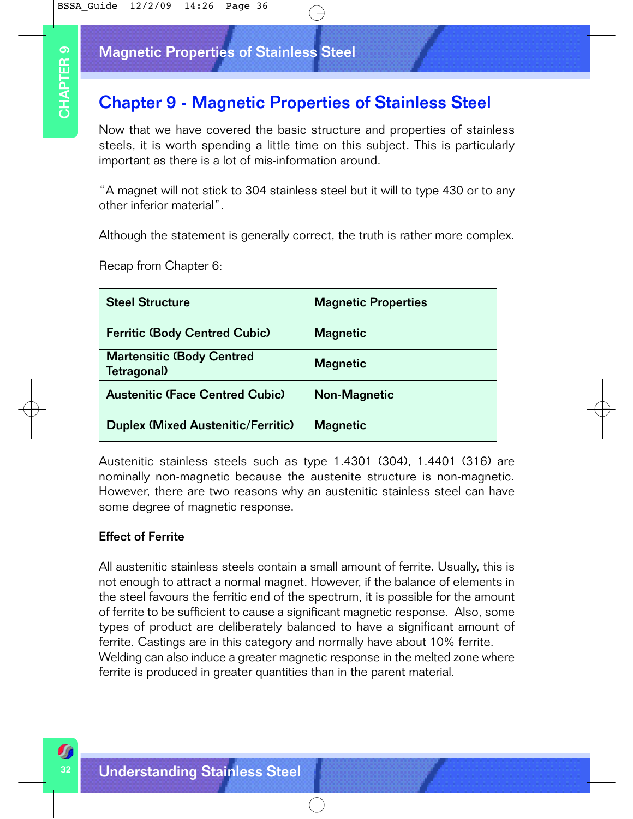### Magnetic Properties of Stainless Steel

# Chapter 9 - Magnetic Properties of Stainless Steel

| <b>Chapter 9 - Magnetic Properties of Stainless Steel</b><br>Now that we have covered the basic structure and properties of stainle<br>steels, it is worth spending a little time on this subject. This is particula<br>important as there is a lot of mis-information around.            |                                        |  |
|-------------------------------------------------------------------------------------------------------------------------------------------------------------------------------------------------------------------------------------------------------------------------------------------|----------------------------------------|--|
| "A magnet will not stick to 304 stainless steel but it will to type 430 or to a<br>other inferior material".                                                                                                                                                                              |                                        |  |
| Although the statement is generally correct, the truth is rather more compl<br>Recap from Chapter 6:                                                                                                                                                                                      |                                        |  |
| <b>Steel Structure</b>                                                                                                                                                                                                                                                                    | <b>Magnetic Properties</b>             |  |
| <b>Ferritic (Body Centred Cubic)</b>                                                                                                                                                                                                                                                      | <b>Magnetic</b>                        |  |
| <b>Martensitic (Body Centred</b><br>Tetragonal)                                                                                                                                                                                                                                           | <b>Magnetic</b><br><b>Non-Magnetic</b> |  |
|                                                                                                                                                                                                                                                                                           |                                        |  |
| <b>Austenitic (Face Centred Cubic)</b>                                                                                                                                                                                                                                                    |                                        |  |
| <b>Duplex (Mixed Austenitic/Ferritic)</b>                                                                                                                                                                                                                                                 | <b>Magnetic</b>                        |  |
| Austenitic stainless steels such as type 1.4301 (304), 1.4401 (316) a<br>nominally non-magnetic because the austenite structure is non-magnet<br>However, there are two reasons why an austenitic stainless steel can ha<br>some degree of magnetic response.<br><b>Effect of Ferrite</b> |                                        |  |

#### Effect of Ferrite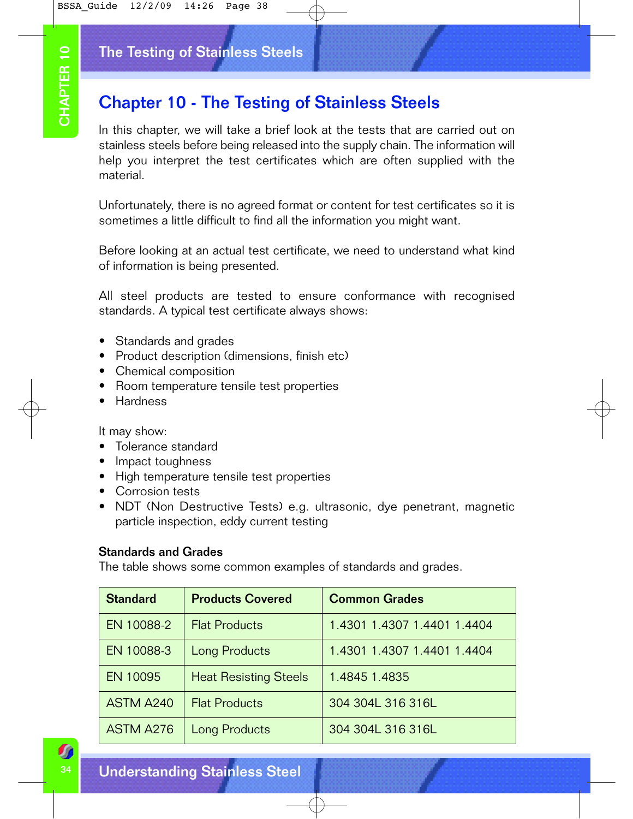# The Testing of Stainless Steels

# Chapter 10 - The Testing of Stainless Steels

- Standards and grades
- Product description (dimensions, finish etc)
- Chemical composition
- Room temperature tensile test properties
- Hardness

- Tolerance standard
- Impact toughness
- High temperature tensile test properties
- Corrosion tests
- NDT (Non Destructive Tests) e.g. ultrasonic, dye penetrant, magnetic particle inspection, eddy current testing

#### Standards and Grades

|                                                                                                                                                                                                                                                                  | The Testing of Stainless Steels                                                       |                                                                                                                                                                |  |  |  |  |
|------------------------------------------------------------------------------------------------------------------------------------------------------------------------------------------------------------------------------------------------------------------|---------------------------------------------------------------------------------------|----------------------------------------------------------------------------------------------------------------------------------------------------------------|--|--|--|--|
|                                                                                                                                                                                                                                                                  | <b>Chapter 10 - The Testing of Stainless Steels</b>                                   |                                                                                                                                                                |  |  |  |  |
| In this chapter, we will take a brief look at the tests that are carried out on<br>stainless steels before being released into the supply chain. The information will<br>help you interpret the test certificates which are often supplied with the<br>material. |                                                                                       |                                                                                                                                                                |  |  |  |  |
|                                                                                                                                                                                                                                                                  |                                                                                       | Unfortunately, there is no agreed format or content for test certificates so it is<br>sometimes a little difficult to find all the information you might want. |  |  |  |  |
|                                                                                                                                                                                                                                                                  | of information is being presented.                                                    | Before looking at an actual test certificate, we need to understand what kind                                                                                  |  |  |  |  |
|                                                                                                                                                                                                                                                                  | standards. A typical test certificate always shows:                                   | All steel products are tested to ensure conformance with recognised                                                                                            |  |  |  |  |
| Standards and grades<br>Product description (dimensions, finish etc)<br>$\bullet$<br>Chemical composition<br>$\bullet$<br>Room temperature tensile test properties<br>Hardness<br>$\bullet$                                                                      |                                                                                       |                                                                                                                                                                |  |  |  |  |
| It may show:<br>Tolerance standard<br>Impact toughness<br>$\bullet$<br>Corrosion tests<br><b>Standards and Grades</b>                                                                                                                                            | High temperature tensile test properties<br>particle inspection, eddy current testing | NDT (Non Destructive Tests) e.g. ultrasonic, dye penetrant, magnetic                                                                                           |  |  |  |  |
| <b>Standard</b>                                                                                                                                                                                                                                                  | <b>Products Covered</b>                                                               | The table shows some common examples of standards and grades.<br><b>Common Grades</b>                                                                          |  |  |  |  |
| EN 10088-2                                                                                                                                                                                                                                                       | <b>Flat Products</b>                                                                  | 1.4301 1.4307 1.4401 1.4404                                                                                                                                    |  |  |  |  |
| EN 10088-3                                                                                                                                                                                                                                                       | <b>Long Products</b>                                                                  | 1.4301 1.4307 1.4401 1.4404                                                                                                                                    |  |  |  |  |
| EN 10095                                                                                                                                                                                                                                                         | <b>Heat Resisting Steels</b>                                                          | 1.4845 1.4835                                                                                                                                                  |  |  |  |  |
| <b>ASTM A240</b>                                                                                                                                                                                                                                                 | <b>Flat Products</b>                                                                  | 304 304L 316 316L                                                                                                                                              |  |  |  |  |
| <b>ASTM A276</b>                                                                                                                                                                                                                                                 | Long Products                                                                         | 304 304L 316 316L                                                                                                                                              |  |  |  |  |
|                                                                                                                                                                                                                                                                  |                                                                                       |                                                                                                                                                                |  |  |  |  |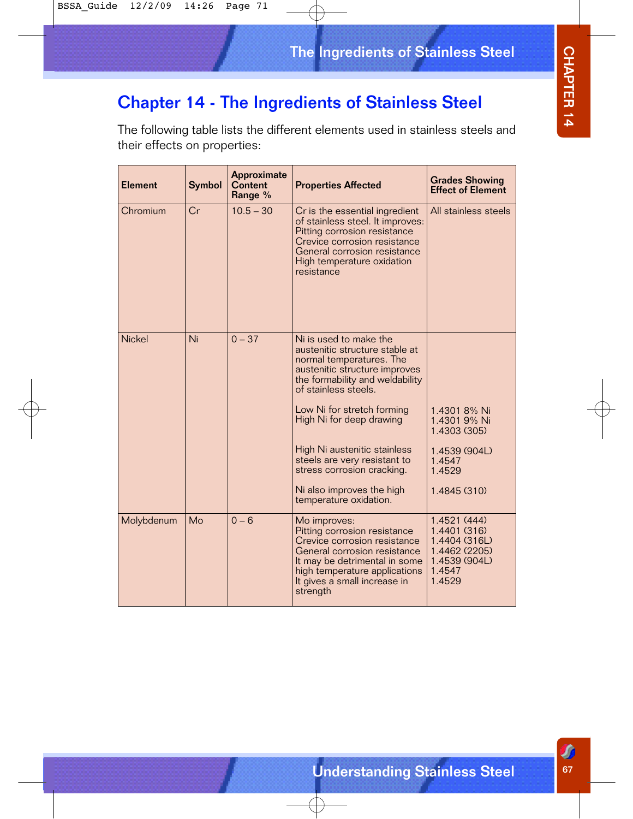# CHAPTER 14 CHAPTER 14<br>CHAPTER 14

# Chapter 14 - The Ingredients of Stainless Steel

The following table lists the different elements used in stainless steels and their effects on properties:

| <b>Element</b> | Symbol | Approximate<br><b>Content</b><br>Range % | <b>Properties Affected</b>                                                                                                                                                                                                 | <b>Grades Showing</b><br><b>Effect of Element</b>                                                   |
|----------------|--------|------------------------------------------|----------------------------------------------------------------------------------------------------------------------------------------------------------------------------------------------------------------------------|-----------------------------------------------------------------------------------------------------|
| Chromium       | Cr     | $10.5 - 30$                              | Cr is the essential ingredient<br>of stainless steel. It improves:<br>Pitting corrosion resistance<br>Crevice corrosion resistance<br>General corrosion resistance<br>High temperature oxidation<br>resistance             | All stainless steels                                                                                |
| <b>Nickel</b>  | Ni     | $0 - 37$                                 | Ni is used to make the<br>austenitic structure stable at<br>normal temperatures. The<br>austenitic structure improves<br>the formability and weldability<br>of stainless steels.                                           |                                                                                                     |
|                |        |                                          | Low Ni for stretch forming<br>High Ni for deep drawing                                                                                                                                                                     | 1.4301 8% Ni<br>1.4301 9% Ni<br>1.4303 (305)                                                        |
|                |        |                                          | High Ni austenitic stainless<br>steels are very resistant to<br>stress corrosion cracking.                                                                                                                                 | 1.4539 (904L)<br>1.4547<br>1.4529                                                                   |
|                |        |                                          | Ni also improves the high<br>temperature oxidation.                                                                                                                                                                        | 1.4845 (310)                                                                                        |
| Molybdenum     | Mo     | $0 - 6$                                  | Mo improves:<br>Pitting corrosion resistance<br>Crevice corrosion resistance<br>General corrosion resistance<br>It may be detrimental in some<br>high temperature applications<br>It gives a small increase in<br>strength | 1.4521 (444)<br>1.4401 (316)<br>1.4404 (316L)<br>1.4462 (2205)<br>1.4539 (904L)<br>1.4547<br>1.4529 |

Œ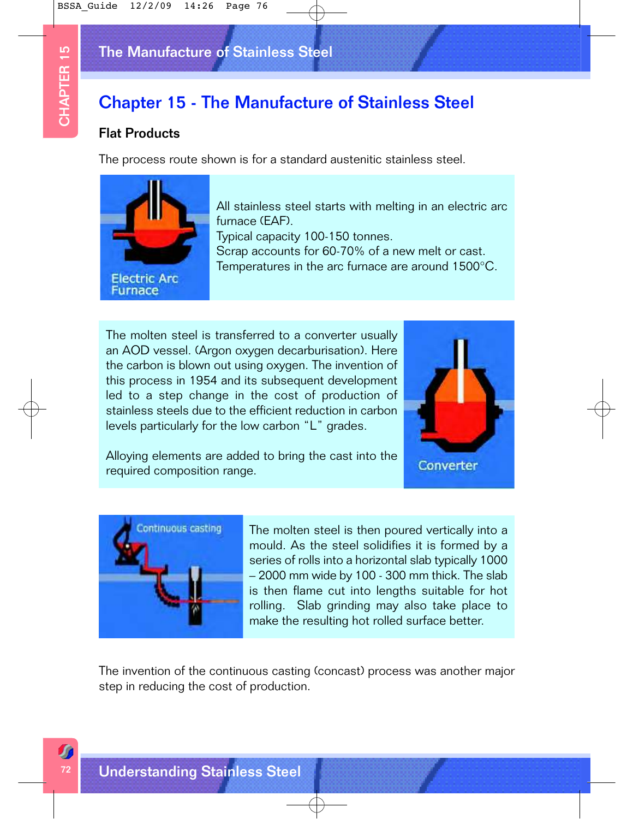# The Manufacture of Stainless Steel

# Chapter 15 - The Manufacture of Stainless Steel

#### Flat Products

The process route shown is for a standard austenitic stainless steel.



All stainless steel starts with melting in an electric arc furnace (EAF). Typical capacity 100-150 tonnes. Scrap accounts for 60-70% of a new melt or cast. Temperatures in the arc furnace are around 1500°C.

The molten steel is transferred to a converter usually an AOD vessel. (Argon oxygen decarburisation). Here the carbon is blown out using oxygen. The invention of this process in 1954 and its subsequent development led to a step change in the cost of production of stainless steels due to the efficient reduction in carbon levels particularly for the low carbon "L" grades.



Alloying elements are added to bring the cast into the required composition range.



The molten steel is then poured vertically into a mould. As the steel solidifies it is formed by a series of rolls into a horizontal slab typically 1000 – 2000 mm wide by 100 - 300 mm thick. The slab is then flame cut into lengths suitable for hot rolling. Slab grinding may also take place to make the resulting hot rolled surface better.

The invention of the continuous casting (concast) process was another major step in reducing the cost of production.